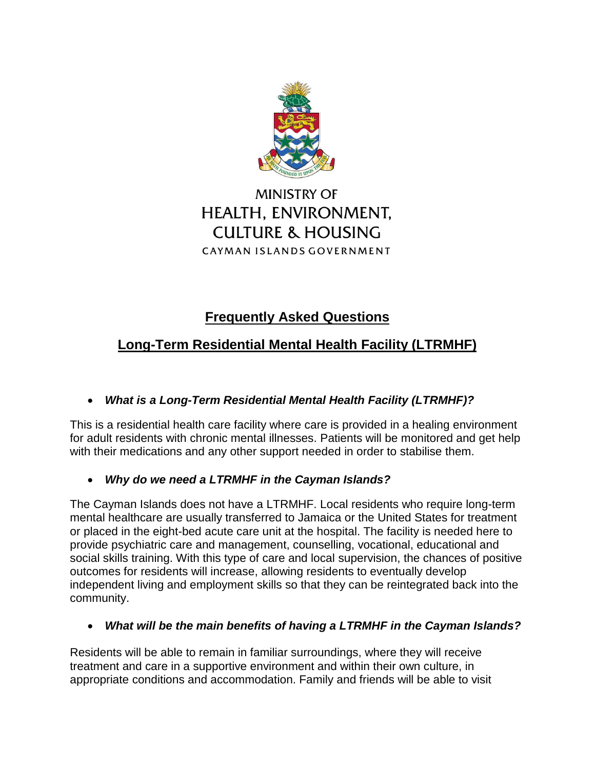

# **MINISTRY OF** HEALTH, ENVIRONMENT, **CULTURE & HOUSING** CAYMAN ISLANDS GOVERNMENT

# **Frequently Asked Questions**

# **Long-Term Residential Mental Health Facility (LTRMHF)**

# *What is a Long-Term Residential Mental Health Facility (LTRMHF)?*

This is a residential health care facility where care is provided in a healing environment for adult residents with chronic mental illnesses. Patients will be monitored and get help with their medications and any other support needed in order to stabilise them.

### *Why do we need a LTRMHF in the Cayman Islands?*

The Cayman Islands does not have a LTRMHF. Local residents who require long-term mental healthcare are usually transferred to Jamaica or the United States for treatment or placed in the eight-bed acute care unit at the hospital. The facility is needed here to provide psychiatric care and management, counselling, vocational, educational and social skills training. With this type of care and local supervision, the chances of positive outcomes for residents will increase, allowing residents to eventually develop independent living and employment skills so that they can be reintegrated back into the community.

#### *What will be the main benefits of having a LTRMHF in the Cayman Islands?*

Residents will be able to remain in familiar surroundings, where they will receive treatment and care in a supportive environment and within their own culture, in appropriate conditions and accommodation. Family and friends will be able to visit